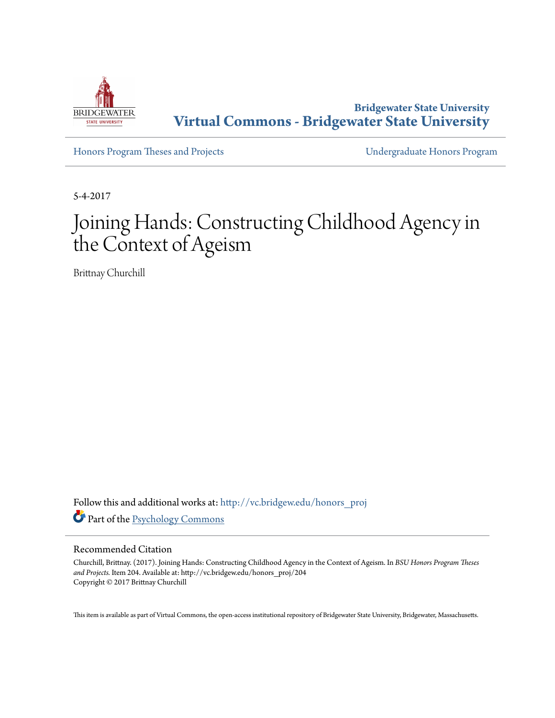

**Bridgewater State University [Virtual Commons - Bridgewater State University](http://vc.bridgew.edu?utm_source=vc.bridgew.edu%2Fhonors_proj%2F204&utm_medium=PDF&utm_campaign=PDFCoverPages)**

[Honors Program Theses and Projects](http://vc.bridgew.edu/honors_proj?utm_source=vc.bridgew.edu%2Fhonors_proj%2F204&utm_medium=PDF&utm_campaign=PDFCoverPages) [Undergraduate Honors Program](http://vc.bridgew.edu/honors?utm_source=vc.bridgew.edu%2Fhonors_proj%2F204&utm_medium=PDF&utm_campaign=PDFCoverPages)

5-4-2017

# Joining Hands: Constructing Childhood Agency in the Context of Ageism

Brittnay Churchill

Follow this and additional works at: [http://vc.bridgew.edu/honors\\_proj](http://vc.bridgew.edu/honors_proj?utm_source=vc.bridgew.edu%2Fhonors_proj%2F204&utm_medium=PDF&utm_campaign=PDFCoverPages) Part of the [Psychology Commons](http://network.bepress.com/hgg/discipline/404?utm_source=vc.bridgew.edu%2Fhonors_proj%2F204&utm_medium=PDF&utm_campaign=PDFCoverPages)

# Recommended Citation

Churchill, Brittnay. (2017). Joining Hands: Constructing Childhood Agency in the Context of Ageism. In *BSU Honors Program Theses and Projects.* Item 204. Available at: http://vc.bridgew.edu/honors\_proj/204 Copyright © 2017 Brittnay Churchill

This item is available as part of Virtual Commons, the open-access institutional repository of Bridgewater State University, Bridgewater, Massachusetts.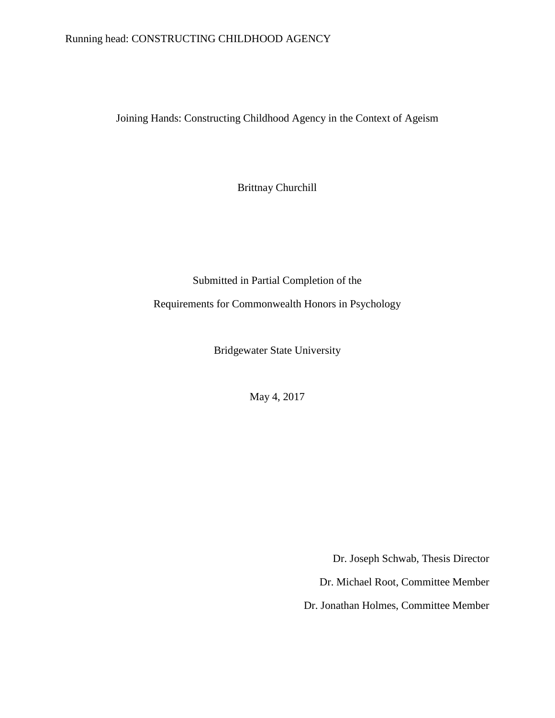# Running head: CONSTRUCTING CHILDHOOD AGENCY

Joining Hands: Constructing Childhood Agency in the Context of Ageism

Brittnay Churchill

Submitted in Partial Completion of the Requirements for Commonwealth Honors in Psychology

Bridgewater State University

May 4, 2017

Dr. Joseph Schwab, Thesis Director

Dr. Michael Root, Committee Member

Dr. Jonathan Holmes, Committee Member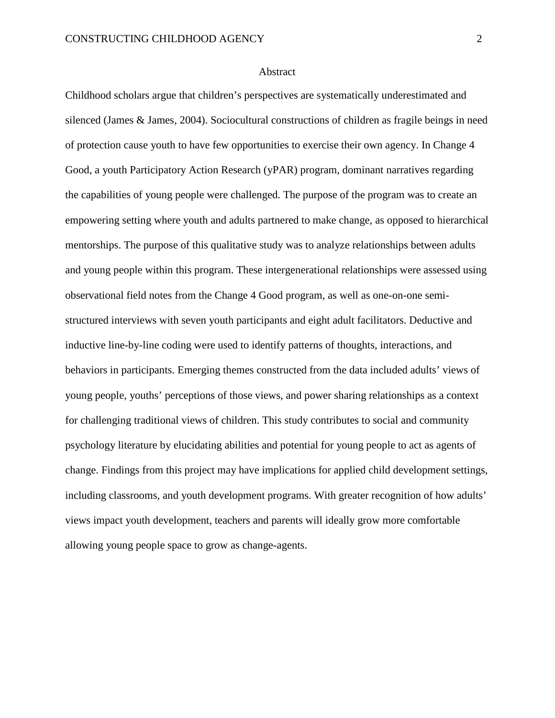#### Abstract

Childhood scholars argue that children's perspectives are systematically underestimated and silenced (James & James, 2004). Sociocultural constructions of children as fragile beings in need of protection cause youth to have few opportunities to exercise their own agency. In Change 4 Good, a youth Participatory Action Research (yPAR) program, dominant narratives regarding the capabilities of young people were challenged. The purpose of the program was to create an empowering setting where youth and adults partnered to make change, as opposed to hierarchical mentorships. The purpose of this qualitative study was to analyze relationships between adults and young people within this program. These intergenerational relationships were assessed using observational field notes from the Change 4 Good program, as well as one-on-one semistructured interviews with seven youth participants and eight adult facilitators. Deductive and inductive line-by-line coding were used to identify patterns of thoughts, interactions, and behaviors in participants. Emerging themes constructed from the data included adults' views of young people, youths' perceptions of those views, and power sharing relationships as a context for challenging traditional views of children. This study contributes to social and community psychology literature by elucidating abilities and potential for young people to act as agents of change. Findings from this project may have implications for applied child development settings, including classrooms, and youth development programs. With greater recognition of how adults' views impact youth development, teachers and parents will ideally grow more comfortable allowing young people space to grow as change-agents.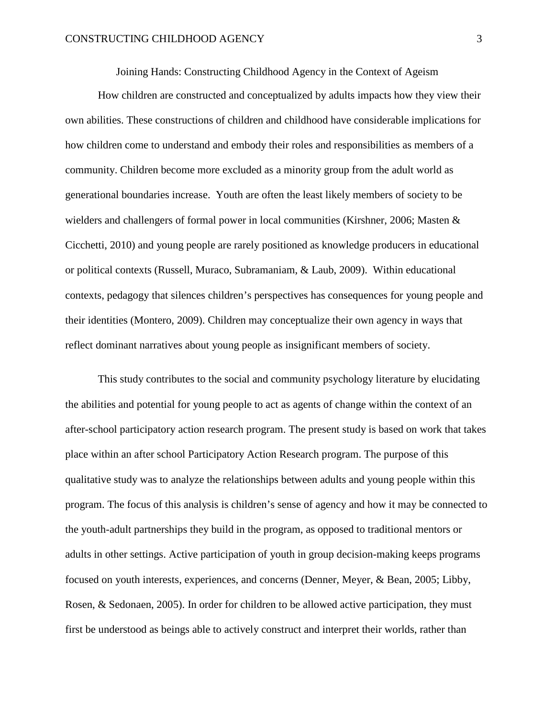Joining Hands: Constructing Childhood Agency in the Context of Ageism

How children are constructed and conceptualized by adults impacts how they view their own abilities. These constructions of children and childhood have considerable implications for how children come to understand and embody their roles and responsibilities as members of a community. Children become more excluded as a minority group from the adult world as generational boundaries increase. Youth are often the least likely members of society to be wielders and challengers of formal power in local communities (Kirshner, 2006; Masten & Cicchetti, 2010) and young people are rarely positioned as knowledge producers in educational or political contexts (Russell, Muraco, Subramaniam, & Laub, 2009). Within educational contexts, pedagogy that silences children's perspectives has consequences for young people and their identities (Montero, 2009). Children may conceptualize their own agency in ways that reflect dominant narratives about young people as insignificant members of society.

This study contributes to the social and community psychology literature by elucidating the abilities and potential for young people to act as agents of change within the context of an after-school participatory action research program. The present study is based on work that takes place within an after school Participatory Action Research program. The purpose of this qualitative study was to analyze the relationships between adults and young people within this program. The focus of this analysis is children's sense of agency and how it may be connected to the youth-adult partnerships they build in the program, as opposed to traditional mentors or adults in other settings. Active participation of youth in group decision-making keeps programs focused on youth interests, experiences, and concerns (Denner, Meyer, & Bean, 2005; Libby, Rosen, & Sedonaen, 2005). In order for children to be allowed active participation, they must first be understood as beings able to actively construct and interpret their worlds, rather than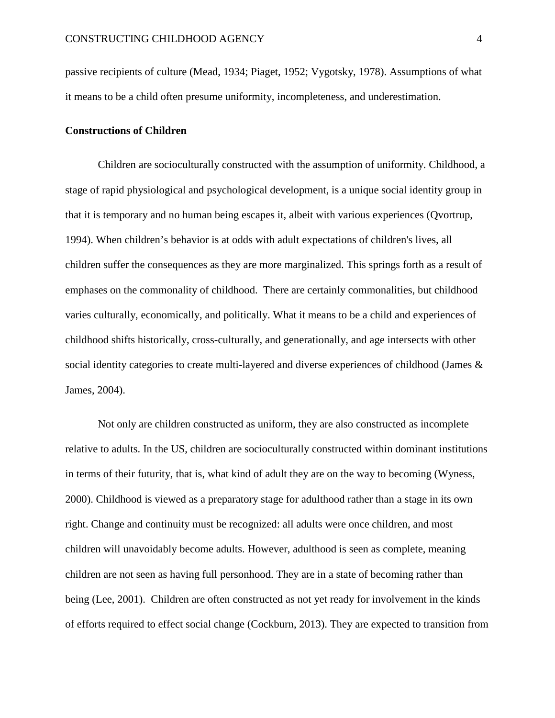passive recipients of culture (Mead, 1934; Piaget, 1952; Vygotsky, 1978). Assumptions of what it means to be a child often presume uniformity, incompleteness, and underestimation.

# **Constructions of Children**

Children are socioculturally constructed with the assumption of uniformity. Childhood, a stage of rapid physiological and psychological development, is a unique social identity group in that it is temporary and no human being escapes it, albeit with various experiences (Qvortrup, 1994). When children's behavior is at odds with adult expectations of children's lives, all children suffer the consequences as they are more marginalized. This springs forth as a result of emphases on the commonality of childhood. There are certainly commonalities, but childhood varies culturally, economically, and politically. What it means to be a child and experiences of childhood shifts historically, cross-culturally, and generationally, and age intersects with other social identity categories to create multi-layered and diverse experiences of childhood (James & James, 2004).

Not only are children constructed as uniform, they are also constructed as incomplete relative to adults. In the US, children are socioculturally constructed within dominant institutions in terms of their futurity, that is, what kind of adult they are on the way to becoming (Wyness, 2000). Childhood is viewed as a preparatory stage for adulthood rather than a stage in its own right. Change and continuity must be recognized: all adults were once children, and most children will unavoidably become adults. However, adulthood is seen as complete, meaning children are not seen as having full personhood. They are in a state of becoming rather than being (Lee, 2001). Children are often constructed as not yet ready for involvement in the kinds of efforts required to effect social change (Cockburn, 2013). They are expected to transition from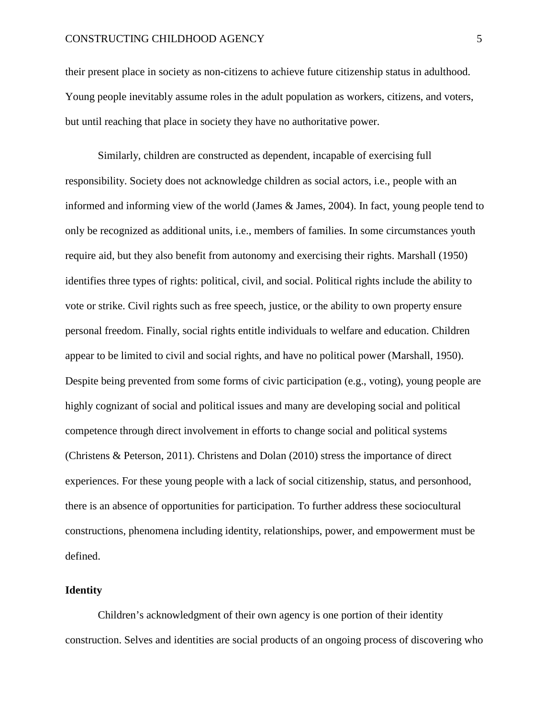their present place in society as non-citizens to achieve future citizenship status in adulthood. Young people inevitably assume roles in the adult population as workers, citizens, and voters, but until reaching that place in society they have no authoritative power.

Similarly, children are constructed as dependent, incapable of exercising full responsibility. Society does not acknowledge children as social actors, i.e., people with an informed and informing view of the world (James & James, 2004). In fact, young people tend to only be recognized as additional units, i.e., members of families. In some circumstances youth require aid, but they also benefit from autonomy and exercising their rights. Marshall (1950) identifies three types of rights: political, civil, and social. Political rights include the ability to vote or strike. Civil rights such as free speech, justice, or the ability to own property ensure personal freedom. Finally, social rights entitle individuals to welfare and education. Children appear to be limited to civil and social rights, and have no political power (Marshall, 1950). Despite being prevented from some forms of civic participation (e.g., voting), young people are highly cognizant of social and political issues and many are developing social and political competence through direct involvement in efforts to change social and political systems (Christens & Peterson, 2011). Christens and Dolan (2010) stress the importance of direct experiences. For these young people with a lack of social citizenship, status, and personhood, there is an absence of opportunities for participation. To further address these sociocultural constructions, phenomena including identity, relationships, power, and empowerment must be defined.

# **Identity**

Children's acknowledgment of their own agency is one portion of their identity construction. Selves and identities are social products of an ongoing process of discovering who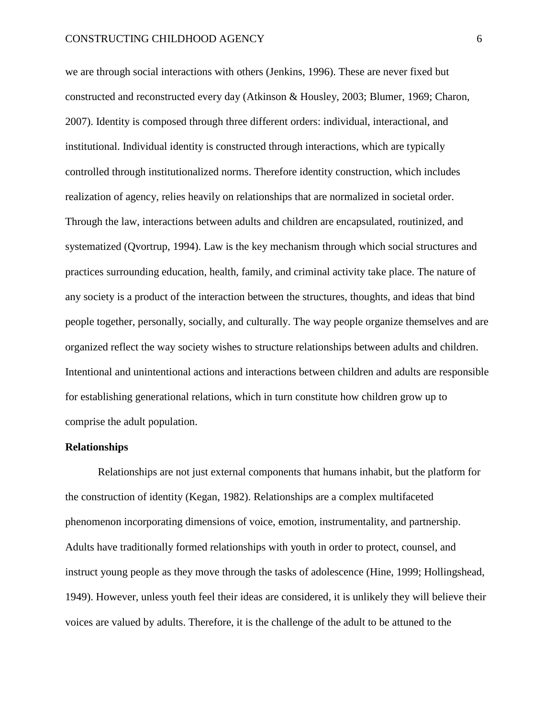we are through social interactions with others (Jenkins, 1996). These are never fixed but constructed and reconstructed every day (Atkinson & Housley, 2003; Blumer, 1969; Charon, 2007). Identity is composed through three different orders: individual, interactional, and institutional. Individual identity is constructed through interactions, which are typically controlled through institutionalized norms. Therefore identity construction, which includes realization of agency, relies heavily on relationships that are normalized in societal order. Through the law, interactions between adults and children are encapsulated, routinized, and systematized (Qvortrup, 1994). Law is the key mechanism through which social structures and practices surrounding education, health, family, and criminal activity take place. The nature of any society is a product of the interaction between the structures, thoughts, and ideas that bind people together, personally, socially, and culturally. The way people organize themselves and are organized reflect the way society wishes to structure relationships between adults and children. Intentional and unintentional actions and interactions between children and adults are responsible for establishing generational relations, which in turn constitute how children grow up to comprise the adult population.

#### **Relationships**

Relationships are not just external components that humans inhabit, but the platform for the construction of identity (Kegan, 1982). Relationships are a complex multifaceted phenomenon incorporating dimensions of voice, emotion, instrumentality, and partnership. Adults have traditionally formed relationships with youth in order to protect, counsel, and instruct young people as they move through the tasks of adolescence (Hine, 1999; Hollingshead, 1949). However, unless youth feel their ideas are considered, it is unlikely they will believe their voices are valued by adults. Therefore, it is the challenge of the adult to be attuned to the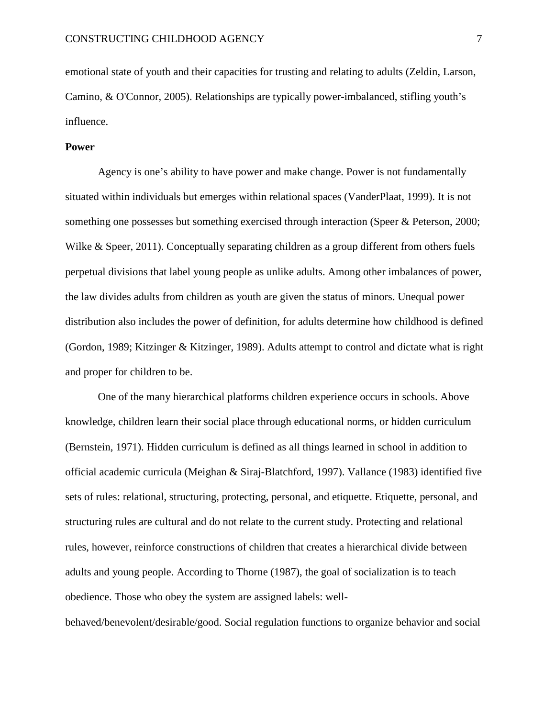emotional state of youth and their capacities for trusting and relating to adults (Zeldin, Larson, Camino, & O'Connor, 2005). Relationships are typically power-imbalanced, stifling youth's influence.

# **Power**

Agency is one's ability to have power and make change. Power is not fundamentally situated within individuals but emerges within relational spaces (VanderPlaat, 1999). It is not something one possesses but something exercised through interaction (Speer & Peterson, 2000; Wilke & Speer, 2011). Conceptually separating children as a group different from others fuels perpetual divisions that label young people as unlike adults. Among other imbalances of power, the law divides adults from children as youth are given the status of minors. Unequal power distribution also includes the power of definition, for adults determine how childhood is defined (Gordon, 1989; Kitzinger & Kitzinger, 1989). Adults attempt to control and dictate what is right and proper for children to be.

One of the many hierarchical platforms children experience occurs in schools. Above knowledge, children learn their social place through educational norms, or hidden curriculum (Bernstein, 1971). Hidden curriculum is defined as all things learned in school in addition to official academic curricula (Meighan & Siraj-Blatchford, 1997). Vallance (1983) identified five sets of rules: relational, structuring, protecting, personal, and etiquette. Etiquette, personal, and structuring rules are cultural and do not relate to the current study. Protecting and relational rules, however, reinforce constructions of children that creates a hierarchical divide between adults and young people. According to Thorne (1987), the goal of socialization is to teach obedience. Those who obey the system are assigned labels: well-

behaved/benevolent/desirable/good. Social regulation functions to organize behavior and social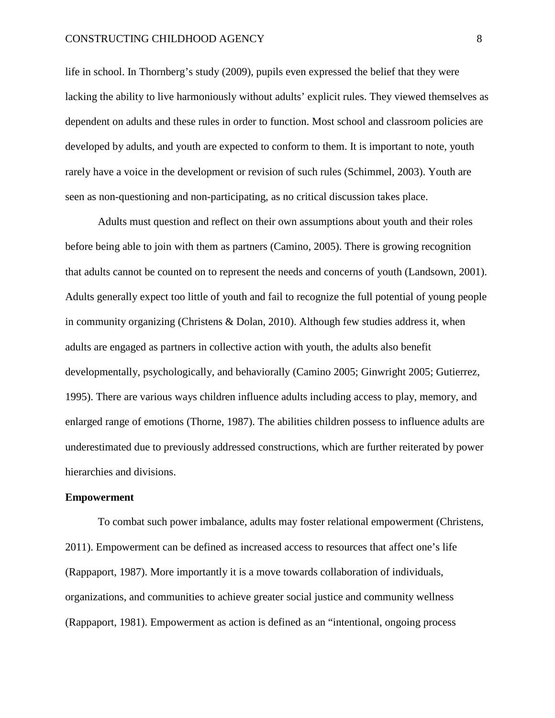#### CONSTRUCTING CHILDHOOD AGENCY 8

life in school. In Thornberg's study (2009), pupils even expressed the belief that they were lacking the ability to live harmoniously without adults' explicit rules. They viewed themselves as dependent on adults and these rules in order to function. Most school and classroom policies are developed by adults, and youth are expected to conform to them. It is important to note, youth rarely have a voice in the development or revision of such rules (Schimmel, 2003). Youth are seen as non-questioning and non-participating, as no critical discussion takes place.

Adults must question and reflect on their own assumptions about youth and their roles before being able to join with them as partners (Camino, 2005). There is growing recognition that adults cannot be counted on to represent the needs and concerns of youth (Landsown, 2001). Adults generally expect too little of youth and fail to recognize the full potential of young people in community organizing (Christens & Dolan, 2010). Although few studies address it, when adults are engaged as partners in collective action with youth, the adults also benefit developmentally, psychologically, and behaviorally (Camino 2005; Ginwright 2005; Gutierrez, 1995). There are various ways children influence adults including access to play, memory, and enlarged range of emotions (Thorne, 1987). The abilities children possess to influence adults are underestimated due to previously addressed constructions, which are further reiterated by power hierarchies and divisions.

#### **Empowerment**

To combat such power imbalance, adults may foster relational empowerment (Christens, 2011). Empowerment can be defined as increased access to resources that affect one's life (Rappaport, 1987). More importantly it is a move towards collaboration of individuals, organizations, and communities to achieve greater social justice and community wellness (Rappaport, 1981). Empowerment as action is defined as an "intentional, ongoing process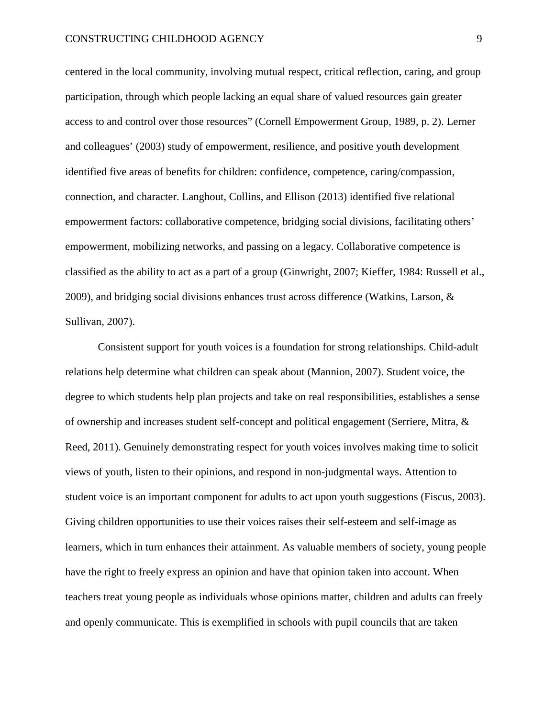centered in the local community, involving mutual respect, critical reflection, caring, and group participation, through which people lacking an equal share of valued resources gain greater access to and control over those resources" (Cornell Empowerment Group, 1989, p. 2). Lerner and colleagues' (2003) study of empowerment, resilience, and positive youth development identified five areas of benefits for children: confidence, competence, caring/compassion, connection, and character. Langhout, Collins, and Ellison (2013) identified five relational empowerment factors: collaborative competence, bridging social divisions, facilitating others' empowerment, mobilizing networks, and passing on a legacy. Collaborative competence is classified as the ability to act as a part of a group (Ginwright, 2007; Kieffer, 1984: Russell et al., 2009), and bridging social divisions enhances trust across difference (Watkins, Larson, & Sullivan, 2007).

Consistent support for youth voices is a foundation for strong relationships. Child-adult relations help determine what children can speak about (Mannion, 2007). Student voice, the degree to which students help plan projects and take on real responsibilities, establishes a sense of ownership and increases student self-concept and political engagement (Serriere, Mitra, & Reed, 2011). Genuinely demonstrating respect for youth voices involves making time to solicit views of youth, listen to their opinions, and respond in non-judgmental ways. Attention to student voice is an important component for adults to act upon youth suggestions (Fiscus, 2003). Giving children opportunities to use their voices raises their self-esteem and self-image as learners, which in turn enhances their attainment. As valuable members of society, young people have the right to freely express an opinion and have that opinion taken into account. When teachers treat young people as individuals whose opinions matter, children and adults can freely and openly communicate. This is exemplified in schools with pupil councils that are taken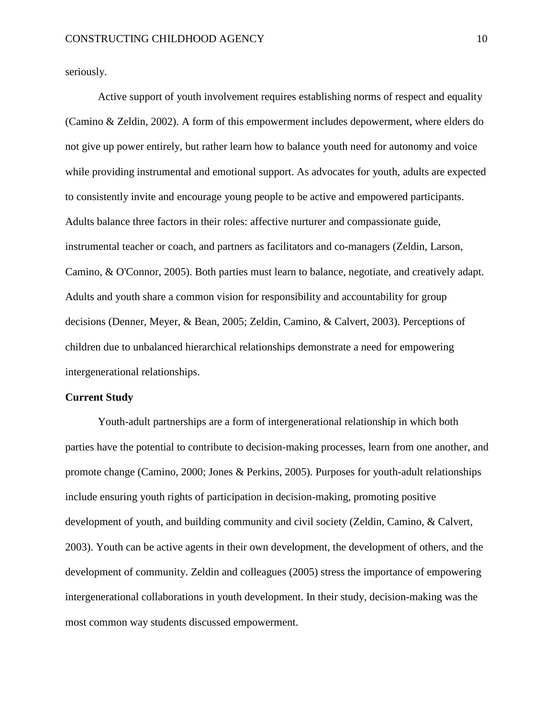seriously.

Active support of youth involvement requires establishing norms of respect and equality (Camino & Zeldin, 2002). A form of this empowerment includes depowerment, where elders do not give up power entirely, but rather learn how to balance youth need for autonomy and voice while providing instrumental and emotional support. As advocates for youth, adults are expected to consistently invite and encourage young people to be active and empowered participants. Adults balance three factors in their roles: affective nurturer and compassionate guide, instrumental teacher or coach, and partners as facilitators and co-managers (Zeldin, Larson, Camino, & O'Connor, 2005). Both parties must learn to balance, negotiate, and creatively adapt. Adults and youth share a common vision for responsibility and accountability for group decisions (Denner, Meyer, & Bean, 2005; Zeldin, Camino, & Calvert, 2003). Perceptions of children due to unbalanced hierarchical relationships demonstrate a need for empowering intergenerational relationships.

#### **Current Study**

Youth-adult partnerships are a form of intergenerational relationship in which both parties have the potential to contribute to decision-making processes, learn from one another, and promote change (Camino, 2000; Jones & Perkins, 2005). Purposes for youth-adult relationships include ensuring youth rights of participation in decision-making, promoting positive development of youth, and building community and civil society (Zeldin, Camino, & Calvert, 2003). Youth can be active agents in their own development, the development of others, and the development of community. Zeldin and colleagues (2005) stress the importance of empowering intergenerational collaborations in youth development. In their study, decision-making was the most common way students discussed empowerment.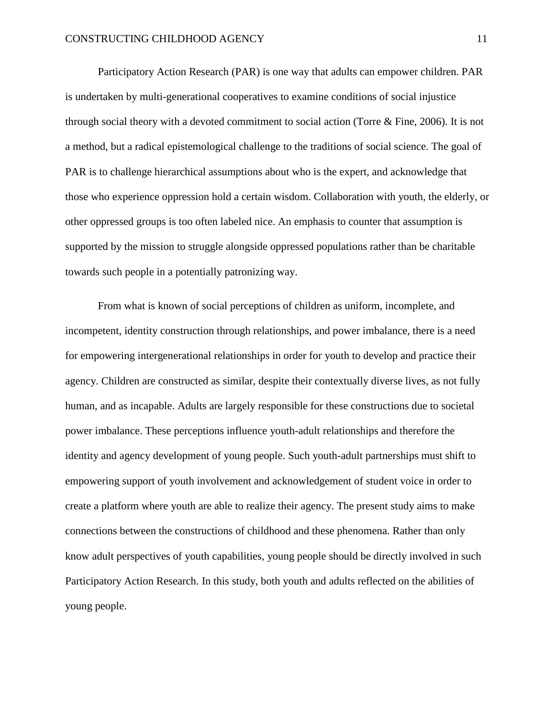Participatory Action Research (PAR) is one way that adults can empower children. PAR is undertaken by multi-generational cooperatives to examine conditions of social injustice through social theory with a devoted commitment to social action (Torre & Fine, 2006). It is not a method, but a radical epistemological challenge to the traditions of social science. The goal of PAR is to challenge hierarchical assumptions about who is the expert, and acknowledge that those who experience oppression hold a certain wisdom. Collaboration with youth, the elderly, or other oppressed groups is too often labeled nice. An emphasis to counter that assumption is supported by the mission to struggle alongside oppressed populations rather than be charitable towards such people in a potentially patronizing way.

From what is known of social perceptions of children as uniform, incomplete, and incompetent, identity construction through relationships, and power imbalance, there is a need for empowering intergenerational relationships in order for youth to develop and practice their agency. Children are constructed as similar, despite their contextually diverse lives, as not fully human, and as incapable. Adults are largely responsible for these constructions due to societal power imbalance. These perceptions influence youth-adult relationships and therefore the identity and agency development of young people. Such youth-adult partnerships must shift to empowering support of youth involvement and acknowledgement of student voice in order to create a platform where youth are able to realize their agency. The present study aims to make connections between the constructions of childhood and these phenomena. Rather than only know adult perspectives of youth capabilities, young people should be directly involved in such Participatory Action Research. In this study, both youth and adults reflected on the abilities of young people.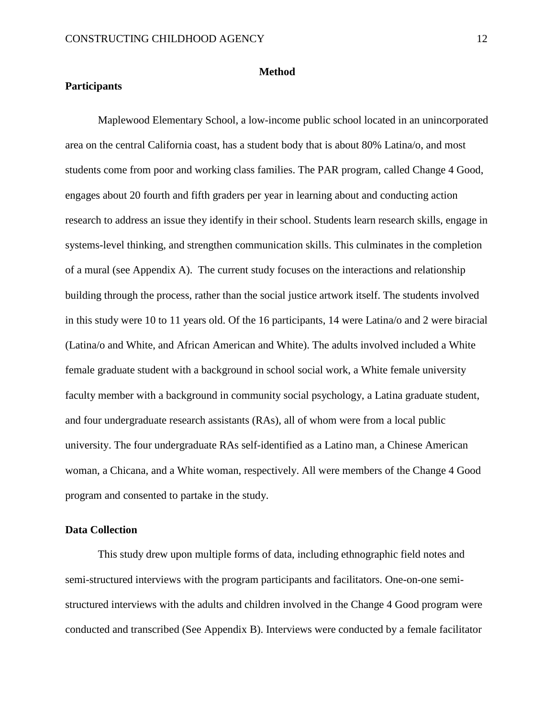#### **Method**

# **Participants**

Maplewood Elementary School, a low-income public school located in an unincorporated area on the central California coast, has a student body that is about 80% Latina/o, and most students come from poor and working class families. The PAR program, called Change 4 Good, engages about 20 fourth and fifth graders per year in learning about and conducting action research to address an issue they identify in their school. Students learn research skills, engage in systems-level thinking, and strengthen communication skills. This culminates in the completion of a mural (see Appendix A). The current study focuses on the interactions and relationship building through the process, rather than the social justice artwork itself. The students involved in this study were 10 to 11 years old. Of the 16 participants, 14 were Latina/o and 2 were biracial (Latina/o and White, and African American and White). The adults involved included a White female graduate student with a background in school social work, a White female university faculty member with a background in community social psychology, a Latina graduate student, and four undergraduate research assistants (RAs), all of whom were from a local public university. The four undergraduate RAs self-identified as a Latino man, a Chinese American woman, a Chicana, and a White woman, respectively. All were members of the Change 4 Good program and consented to partake in the study.

# **Data Collection**

This study drew upon multiple forms of data, including ethnographic field notes and semi-structured interviews with the program participants and facilitators. One-on-one semistructured interviews with the adults and children involved in the Change 4 Good program were conducted and transcribed (See Appendix B). Interviews were conducted by a female facilitator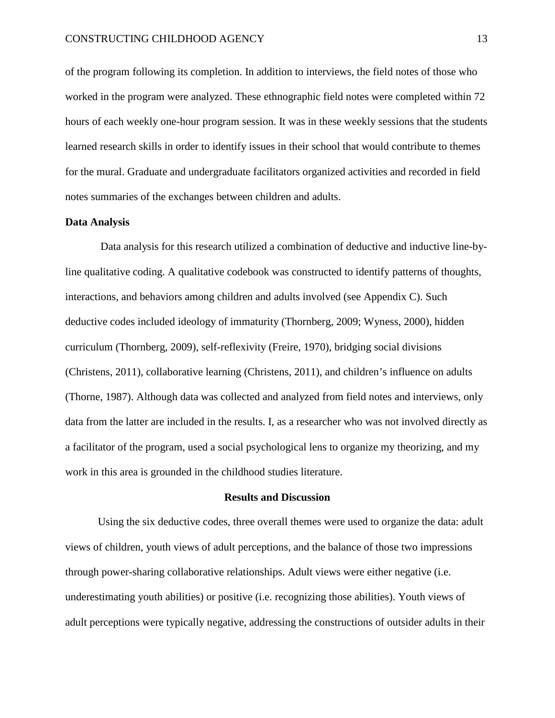#### CONSTRUCTING CHILDHOOD AGENCY 13

of the program following its completion. In addition to interviews, the field notes of those who worked in the program were analyzed. These ethnographic field notes were completed within 72 hours of each weekly one-hour program session. It was in these weekly sessions that the students learned research skills in order to identify issues in their school that would contribute to themes for the mural. Graduate and undergraduate facilitators organized activities and recorded in field notes summaries of the exchanges between children and adults.

#### **Data Analysis**

Data analysis for this research utilized a combination of deductive and inductive line-byline qualitative coding. A qualitative codebook was constructed to identify patterns of thoughts, interactions, and behaviors among children and adults involved (see Appendix C). Such deductive codes included ideology of immaturity (Thornberg, 2009; Wyness, 2000), hidden curriculum (Thornberg, 2009), self-reflexivity (Freire, 1970), bridging social divisions (Christens, 2011), collaborative learning (Christens, 2011), and children's influence on adults (Thorne, 1987). Although data was collected and analyzed from field notes and interviews, only data from the latter are included in the results. I, as a researcher who was not involved directly as a facilitator of the program, used a social psychological lens to organize my theorizing, and my work in this area is grounded in the childhood studies literature.

#### **Results and Discussion**

Using the six deductive codes, three overall themes were used to organize the data: adult views of children, youth views of adult perceptions, and the balance of those two impressions through power-sharing collaborative relationships. Adult views were either negative (i.e. underestimating youth abilities) or positive (i.e. recognizing those abilities). Youth views of adult perceptions were typically negative, addressing the constructions of outsider adults in their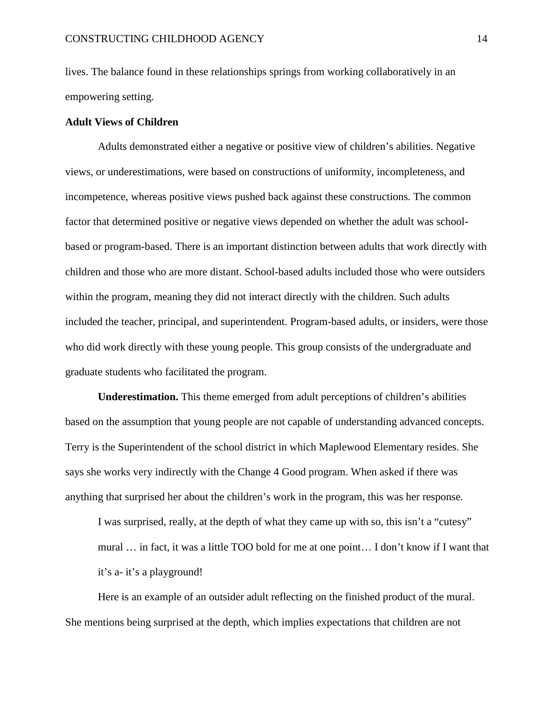lives. The balance found in these relationships springs from working collaboratively in an empowering setting.

# **Adult Views of Children**

Adults demonstrated either a negative or positive view of children's abilities. Negative views, or underestimations, were based on constructions of uniformity, incompleteness, and incompetence, whereas positive views pushed back against these constructions. The common factor that determined positive or negative views depended on whether the adult was schoolbased or program-based. There is an important distinction between adults that work directly with children and those who are more distant. School-based adults included those who were outsiders within the program, meaning they did not interact directly with the children. Such adults included the teacher, principal, and superintendent. Program-based adults, or insiders, were those who did work directly with these young people. This group consists of the undergraduate and graduate students who facilitated the program.

**Underestimation.** This theme emerged from adult perceptions of children's abilities based on the assumption that young people are not capable of understanding advanced concepts. Terry is the Superintendent of the school district in which Maplewood Elementary resides. She says she works very indirectly with the Change 4 Good program. When asked if there was anything that surprised her about the children's work in the program, this was her response.

I was surprised, really, at the depth of what they came up with so, this isn't a "cutesy" mural … in fact, it was a little TOO bold for me at one point… I don't know if I want that it's a- it's a playground!

Here is an example of an outsider adult reflecting on the finished product of the mural. She mentions being surprised at the depth, which implies expectations that children are not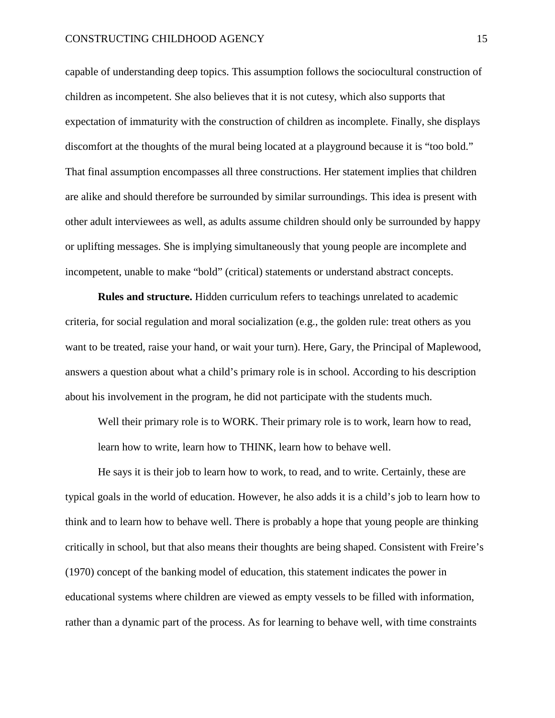capable of understanding deep topics. This assumption follows the sociocultural construction of children as incompetent. She also believes that it is not cutesy, which also supports that expectation of immaturity with the construction of children as incomplete. Finally, she displays discomfort at the thoughts of the mural being located at a playground because it is "too bold." That final assumption encompasses all three constructions. Her statement implies that children are alike and should therefore be surrounded by similar surroundings. This idea is present with other adult interviewees as well, as adults assume children should only be surrounded by happy or uplifting messages. She is implying simultaneously that young people are incomplete and incompetent, unable to make "bold" (critical) statements or understand abstract concepts.

**Rules and structure.** Hidden curriculum refers to teachings unrelated to academic criteria, for social regulation and moral socialization (e.g., the golden rule: treat others as you want to be treated, raise your hand, or wait your turn). Here, Gary, the Principal of Maplewood, answers a question about what a child's primary role is in school. According to his description about his involvement in the program, he did not participate with the students much.

Well their primary role is to WORK. Their primary role is to work, learn how to read, learn how to write, learn how to THINK, learn how to behave well.

He says it is their job to learn how to work, to read, and to write. Certainly, these are typical goals in the world of education. However, he also adds it is a child's job to learn how to think and to learn how to behave well. There is probably a hope that young people are thinking critically in school, but that also means their thoughts are being shaped. Consistent with Freire's (1970) concept of the banking model of education, this statement indicates the power in educational systems where children are viewed as empty vessels to be filled with information, rather than a dynamic part of the process. As for learning to behave well, with time constraints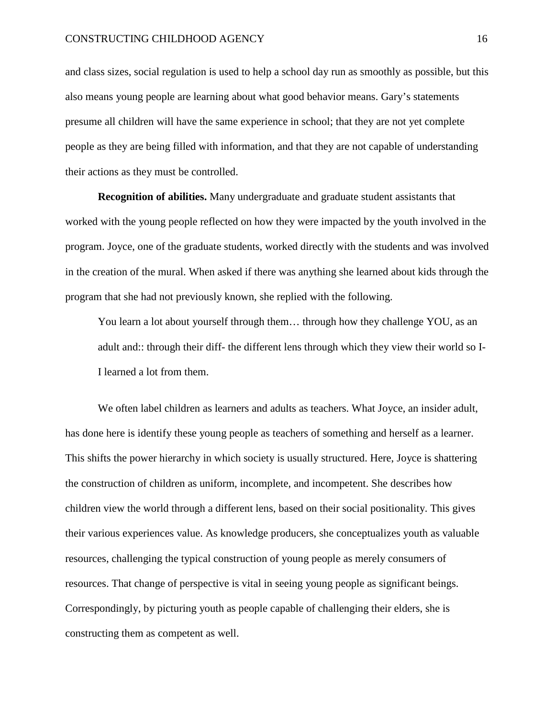#### CONSTRUCTING CHILDHOOD AGENCY 16

and class sizes, social regulation is used to help a school day run as smoothly as possible, but this also means young people are learning about what good behavior means. Gary's statements presume all children will have the same experience in school; that they are not yet complete people as they are being filled with information, and that they are not capable of understanding their actions as they must be controlled.

**Recognition of abilities.** Many undergraduate and graduate student assistants that worked with the young people reflected on how they were impacted by the youth involved in the program. Joyce, one of the graduate students, worked directly with the students and was involved in the creation of the mural. When asked if there was anything she learned about kids through the program that she had not previously known, she replied with the following.

You learn a lot about yourself through them… through how they challenge YOU, as an adult and:: through their diff- the different lens through which they view their world so I-I learned a lot from them.

We often label children as learners and adults as teachers. What Joyce, an insider adult, has done here is identify these young people as teachers of something and herself as a learner. This shifts the power hierarchy in which society is usually structured. Here, Joyce is shattering the construction of children as uniform, incomplete, and incompetent. She describes how children view the world through a different lens, based on their social positionality. This gives their various experiences value. As knowledge producers, she conceptualizes youth as valuable resources, challenging the typical construction of young people as merely consumers of resources. That change of perspective is vital in seeing young people as significant beings. Correspondingly, by picturing youth as people capable of challenging their elders, she is constructing them as competent as well.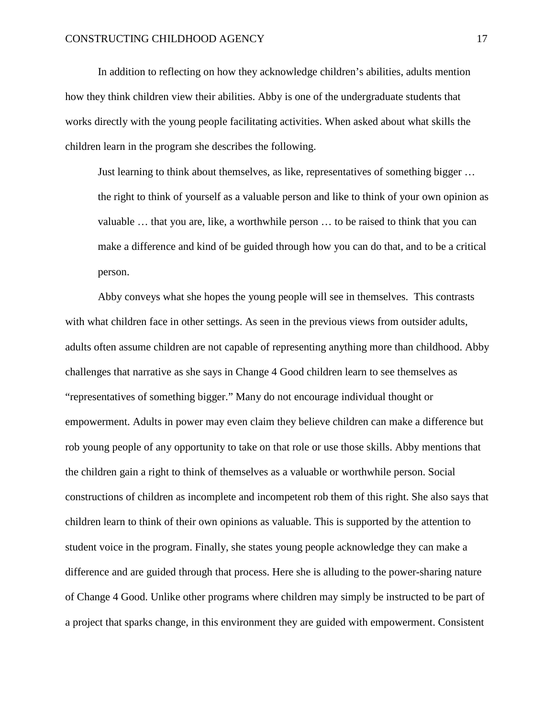In addition to reflecting on how they acknowledge children's abilities, adults mention how they think children view their abilities. Abby is one of the undergraduate students that works directly with the young people facilitating activities. When asked about what skills the children learn in the program she describes the following.

Just learning to think about themselves, as like, representatives of something bigger … the right to think of yourself as a valuable person and like to think of your own opinion as valuable … that you are, like, a worthwhile person … to be raised to think that you can make a difference and kind of be guided through how you can do that, and to be a critical person.

Abby conveys what she hopes the young people will see in themselves. This contrasts with what children face in other settings. As seen in the previous views from outsider adults, adults often assume children are not capable of representing anything more than childhood. Abby challenges that narrative as she says in Change 4 Good children learn to see themselves as "representatives of something bigger." Many do not encourage individual thought or empowerment. Adults in power may even claim they believe children can make a difference but rob young people of any opportunity to take on that role or use those skills. Abby mentions that the children gain a right to think of themselves as a valuable or worthwhile person. Social constructions of children as incomplete and incompetent rob them of this right. She also says that children learn to think of their own opinions as valuable. This is supported by the attention to student voice in the program. Finally, she states young people acknowledge they can make a difference and are guided through that process. Here she is alluding to the power-sharing nature of Change 4 Good. Unlike other programs where children may simply be instructed to be part of a project that sparks change, in this environment they are guided with empowerment. Consistent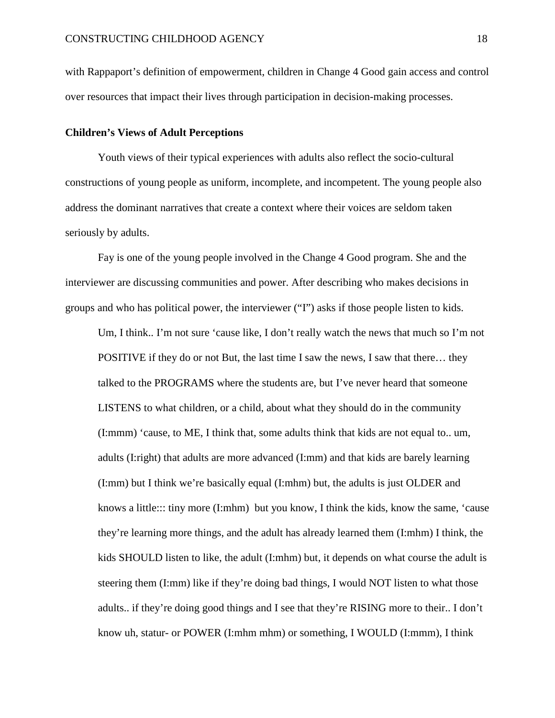with Rappaport's definition of empowerment, children in Change 4 Good gain access and control over resources that impact their lives through participation in decision-making processes.

#### **Children's Views of Adult Perceptions**

Youth views of their typical experiences with adults also reflect the socio-cultural constructions of young people as uniform, incomplete, and incompetent. The young people also address the dominant narratives that create a context where their voices are seldom taken seriously by adults.

Fay is one of the young people involved in the Change 4 Good program. She and the interviewer are discussing communities and power. After describing who makes decisions in groups and who has political power, the interviewer ("I") asks if those people listen to kids.

Um, I think.. I'm not sure 'cause like, I don't really watch the news that much so I'm not POSITIVE if they do or not But, the last time I saw the news, I saw that there… they talked to the PROGRAMS where the students are, but I've never heard that someone LISTENS to what children, or a child, about what they should do in the community (I:mmm) 'cause, to ME, I think that, some adults think that kids are not equal to.. um, adults (I:right) that adults are more advanced (I:mm) and that kids are barely learning (I:mm) but I think we're basically equal (I:mhm) but, the adults is just OLDER and knows a little::: tiny more (I:mhm) but you know, I think the kids, know the same, 'cause they're learning more things, and the adult has already learned them (I:mhm) I think, the kids SHOULD listen to like, the adult (I:mhm) but, it depends on what course the adult is steering them (I:mm) like if they're doing bad things, I would NOT listen to what those adults.. if they're doing good things and I see that they're RISING more to their.. I don't know uh, statur- or POWER (I:mhm mhm) or something, I WOULD (I:mmm), I think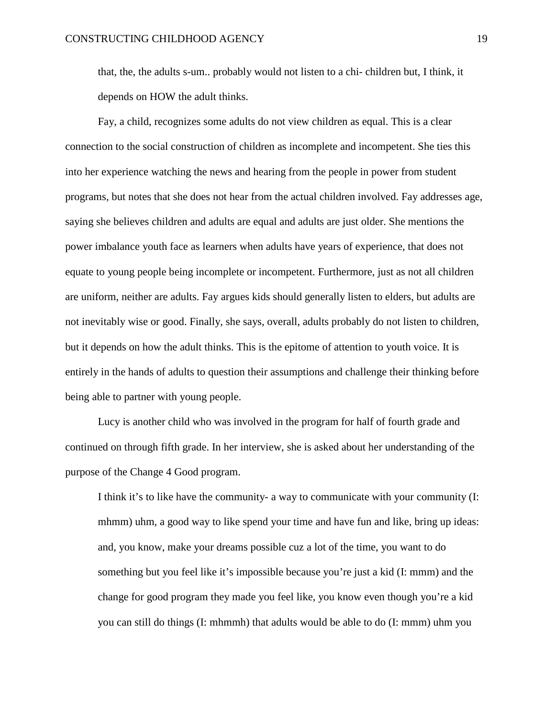that, the, the adults s-um.. probably would not listen to a chi- children but, I think, it depends on HOW the adult thinks.

Fay, a child, recognizes some adults do not view children as equal. This is a clear connection to the social construction of children as incomplete and incompetent. She ties this into her experience watching the news and hearing from the people in power from student programs, but notes that she does not hear from the actual children involved. Fay addresses age, saying she believes children and adults are equal and adults are just older. She mentions the power imbalance youth face as learners when adults have years of experience, that does not equate to young people being incomplete or incompetent. Furthermore, just as not all children are uniform, neither are adults. Fay argues kids should generally listen to elders, but adults are not inevitably wise or good. Finally, she says, overall, adults probably do not listen to children, but it depends on how the adult thinks. This is the epitome of attention to youth voice. It is entirely in the hands of adults to question their assumptions and challenge their thinking before being able to partner with young people.

Lucy is another child who was involved in the program for half of fourth grade and continued on through fifth grade. In her interview, she is asked about her understanding of the purpose of the Change 4 Good program.

I think it's to like have the community- a way to communicate with your community (I: mhmm) uhm, a good way to like spend your time and have fun and like, bring up ideas: and, you know, make your dreams possible cuz a lot of the time, you want to do something but you feel like it's impossible because you're just a kid (I: mmm) and the change for good program they made you feel like, you know even though you're a kid you can still do things (I: mhmmh) that adults would be able to do (I: mmm) uhm you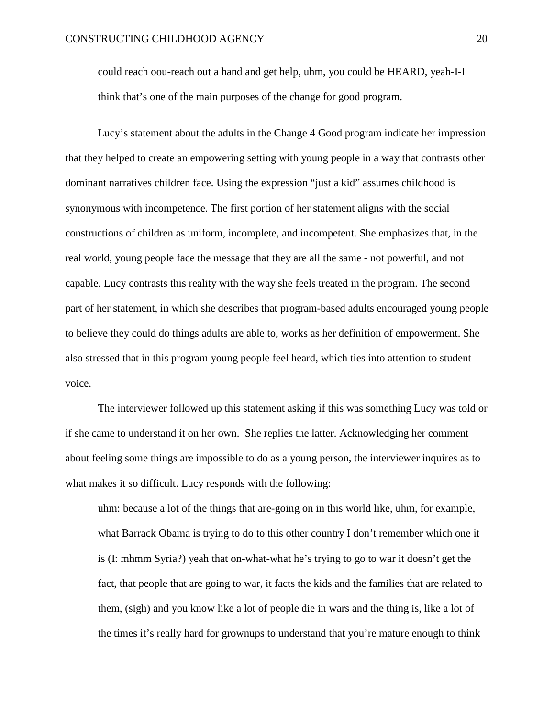could reach oou-reach out a hand and get help, uhm, you could be HEARD, yeah-I-I think that's one of the main purposes of the change for good program.

Lucy's statement about the adults in the Change 4 Good program indicate her impression that they helped to create an empowering setting with young people in a way that contrasts other dominant narratives children face. Using the expression "just a kid" assumes childhood is synonymous with incompetence. The first portion of her statement aligns with the social constructions of children as uniform, incomplete, and incompetent. She emphasizes that, in the real world, young people face the message that they are all the same - not powerful, and not capable. Lucy contrasts this reality with the way she feels treated in the program. The second part of her statement, in which she describes that program-based adults encouraged young people to believe they could do things adults are able to, works as her definition of empowerment. She also stressed that in this program young people feel heard, which ties into attention to student voice.

The interviewer followed up this statement asking if this was something Lucy was told or if she came to understand it on her own. She replies the latter. Acknowledging her comment about feeling some things are impossible to do as a young person, the interviewer inquires as to what makes it so difficult. Lucy responds with the following:

uhm: because a lot of the things that are-going on in this world like, uhm, for example, what Barrack Obama is trying to do to this other country I don't remember which one it is (I: mhmm Syria?) yeah that on-what-what he's trying to go to war it doesn't get the fact, that people that are going to war, it facts the kids and the families that are related to them, (sigh) and you know like a lot of people die in wars and the thing is, like a lot of the times it's really hard for grownups to understand that you're mature enough to think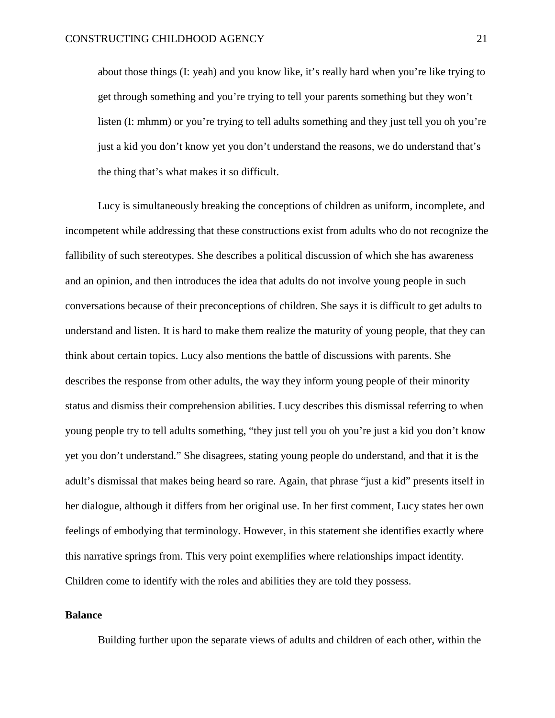about those things (I: yeah) and you know like, it's really hard when you're like trying to get through something and you're trying to tell your parents something but they won't listen (I: mhmm) or you're trying to tell adults something and they just tell you oh you're just a kid you don't know yet you don't understand the reasons, we do understand that's the thing that's what makes it so difficult.

Lucy is simultaneously breaking the conceptions of children as uniform, incomplete, and incompetent while addressing that these constructions exist from adults who do not recognize the fallibility of such stereotypes. She describes a political discussion of which she has awareness and an opinion, and then introduces the idea that adults do not involve young people in such conversations because of their preconceptions of children. She says it is difficult to get adults to understand and listen. It is hard to make them realize the maturity of young people, that they can think about certain topics. Lucy also mentions the battle of discussions with parents. She describes the response from other adults, the way they inform young people of their minority status and dismiss their comprehension abilities. Lucy describes this dismissal referring to when young people try to tell adults something, "they just tell you oh you're just a kid you don't know yet you don't understand." She disagrees, stating young people do understand, and that it is the adult's dismissal that makes being heard so rare. Again, that phrase "just a kid" presents itself in her dialogue, although it differs from her original use. In her first comment, Lucy states her own feelings of embodying that terminology. However, in this statement she identifies exactly where this narrative springs from. This very point exemplifies where relationships impact identity. Children come to identify with the roles and abilities they are told they possess.

#### **Balance**

Building further upon the separate views of adults and children of each other, within the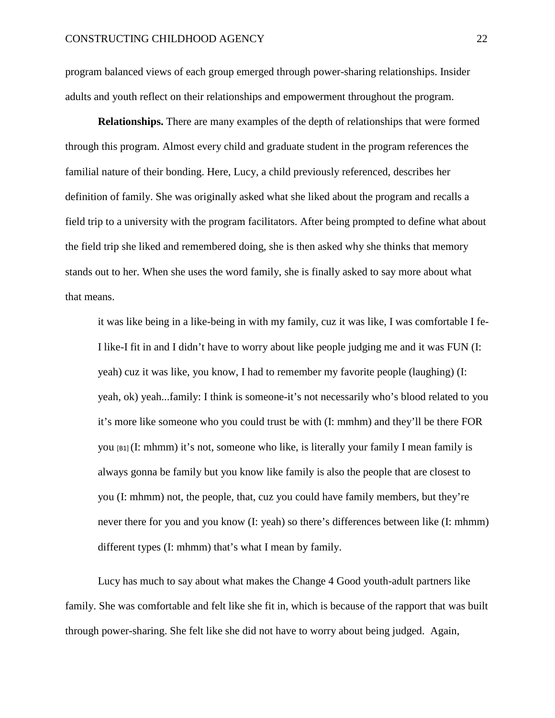program balanced views of each group emerged through power-sharing relationships. Insider adults and youth reflect on their relationships and empowerment throughout the program.

**Relationships.** There are many examples of the depth of relationships that were formed through this program. Almost every child and graduate student in the program references the familial nature of their bonding. Here, Lucy, a child previously referenced, describes her definition of family. She was originally asked what she liked about the program and recalls a field trip to a university with the program facilitators. After being prompted to define what about the field trip she liked and remembered doing, she is then asked why she thinks that memory stands out to her. When she uses the word family, she is finally asked to say more about what that means.

it was like being in a like-being in with my family, cuz it was like, I was comfortable I fe-I like-I fit in and I didn't have to worry about like people judging me and it was FUN (I: yeah) cuz it was like, you know, I had to remember my favorite people (laughing) (I: yeah, ok) yeah...family: I think is someone-it's not necessarily who's blood related to you it's more like someone who you could trust be with (I: mmhm) and they'll be there FOR you  $[61]$  (I: mhmm) it's not, someone who like, is literally your family I mean family is always gonna be family but you know like family is also the people that are closest to you (I: mhmm) not, the people, that, cuz you could have family members, but they're never there for you and you know (I: yeah) so there's differences between like (I: mhmm) different types (I: mhmm) that's what I mean by family.

Lucy has much to say about what makes the Change 4 Good youth-adult partners like family. She was comfortable and felt like she fit in, which is because of the rapport that was built through power-sharing. She felt like she did not have to worry about being judged. Again,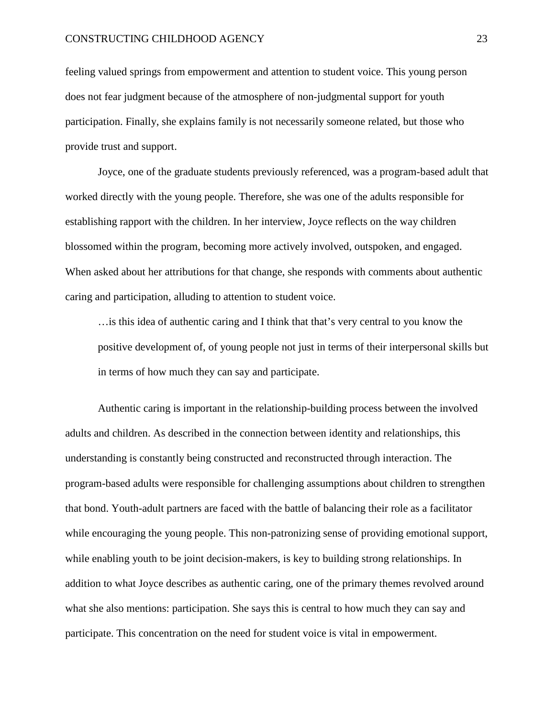feeling valued springs from empowerment and attention to student voice. This young person does not fear judgment because of the atmosphere of non-judgmental support for youth participation. Finally, she explains family is not necessarily someone related, but those who provide trust and support.

Joyce, one of the graduate students previously referenced, was a program-based adult that worked directly with the young people. Therefore, she was one of the adults responsible for establishing rapport with the children. In her interview, Joyce reflects on the way children blossomed within the program, becoming more actively involved, outspoken, and engaged. When asked about her attributions for that change, she responds with comments about authentic caring and participation, alluding to attention to student voice.

... is this idea of authentic caring and I think that that's very central to you know the positive development of, of young people not just in terms of their interpersonal skills but in terms of how much they can say and participate.

Authentic caring is important in the relationship-building process between the involved adults and children. As described in the connection between identity and relationships, this understanding is constantly being constructed and reconstructed through interaction. The program-based adults were responsible for challenging assumptions about children to strengthen that bond. Youth-adult partners are faced with the battle of balancing their role as a facilitator while encouraging the young people. This non-patronizing sense of providing emotional support, while enabling youth to be joint decision-makers, is key to building strong relationships. In addition to what Joyce describes as authentic caring, one of the primary themes revolved around what she also mentions: participation. She says this is central to how much they can say and participate. This concentration on the need for student voice is vital in empowerment.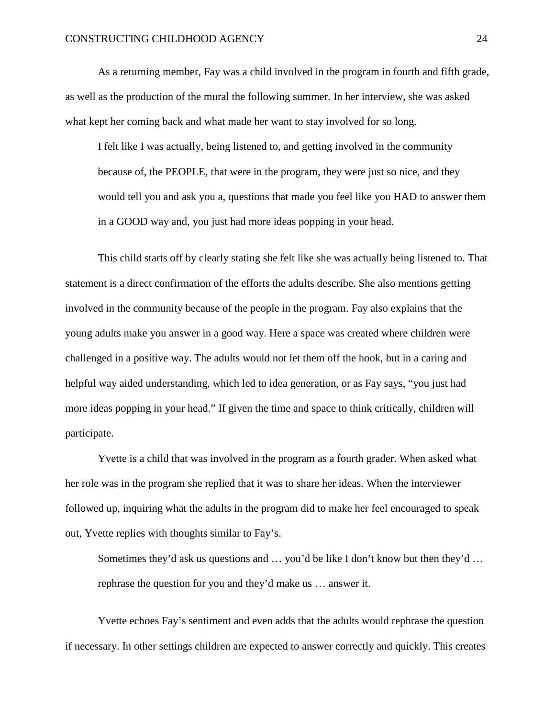As a returning member, Fay was a child involved in the program in fourth and fifth grade, as well as the production of the mural the following summer. In her interview, she was asked what kept her coming back and what made her want to stay involved for so long.

I felt like I was actually, being listened to, and getting involved in the community because of, the PEOPLE, that were in the program, they were just so nice, and they would tell you and ask you a, questions that made you feel like you HAD to answer them in a GOOD way and, you just had more ideas popping in your head.

This child starts off by clearly stating she felt like she was actually being listened to. That statement is a direct confirmation of the efforts the adults describe. She also mentions getting involved in the community because of the people in the program. Fay also explains that the young adults make you answer in a good way. Here a space was created where children were challenged in a positive way. The adults would not let them off the hook, but in a caring and helpful way aided understanding, which led to idea generation, or as Fay says, "you just had more ideas popping in your head." If given the time and space to think critically, children will participate.

Yvette is a child that was involved in the program as a fourth grader. When asked what her role was in the program she replied that it was to share her ideas. When the interviewer followed up, inquiring what the adults in the program did to make her feel encouraged to speak out, Yvette replies with thoughts similar to Fay's.

Sometimes they'd ask us questions and … you'd be like I don't know but then they'd … rephrase the question for you and they'd make us … answer it.

Yvette echoes Fay's sentiment and even adds that the adults would rephrase the question if necessary. In other settings children are expected to answer correctly and quickly. This creates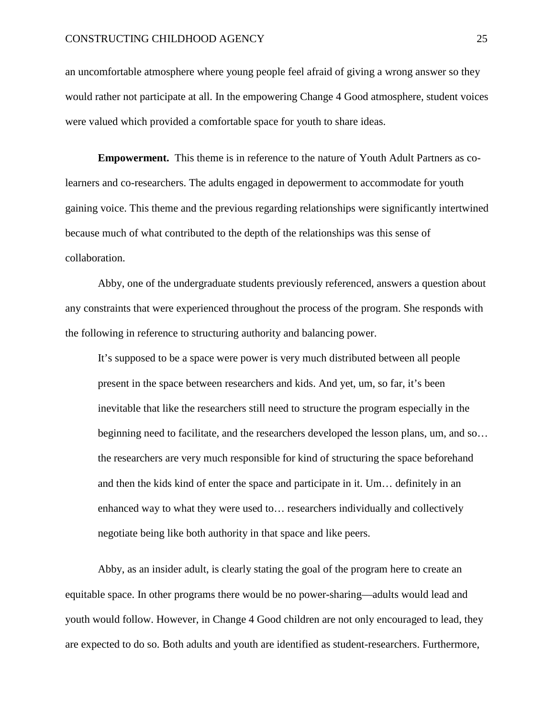an uncomfortable atmosphere where young people feel afraid of giving a wrong answer so they would rather not participate at all. In the empowering Change 4 Good atmosphere, student voices were valued which provided a comfortable space for youth to share ideas.

**Empowerment.** This theme is in reference to the nature of Youth Adult Partners as colearners and co-researchers. The adults engaged in depowerment to accommodate for youth gaining voice. This theme and the previous regarding relationships were significantly intertwined because much of what contributed to the depth of the relationships was this sense of collaboration.

Abby, one of the undergraduate students previously referenced, answers a question about any constraints that were experienced throughout the process of the program. She responds with the following in reference to structuring authority and balancing power.

It's supposed to be a space were power is very much distributed between all people present in the space between researchers and kids. And yet, um, so far, it's been inevitable that like the researchers still need to structure the program especially in the beginning need to facilitate, and the researchers developed the lesson plans, um, and so… the researchers are very much responsible for kind of structuring the space beforehand and then the kids kind of enter the space and participate in it. Um… definitely in an enhanced way to what they were used to… researchers individually and collectively negotiate being like both authority in that space and like peers.

Abby, as an insider adult, is clearly stating the goal of the program here to create an equitable space. In other programs there would be no power-sharing––adults would lead and youth would follow. However, in Change 4 Good children are not only encouraged to lead, they are expected to do so. Both adults and youth are identified as student-researchers. Furthermore,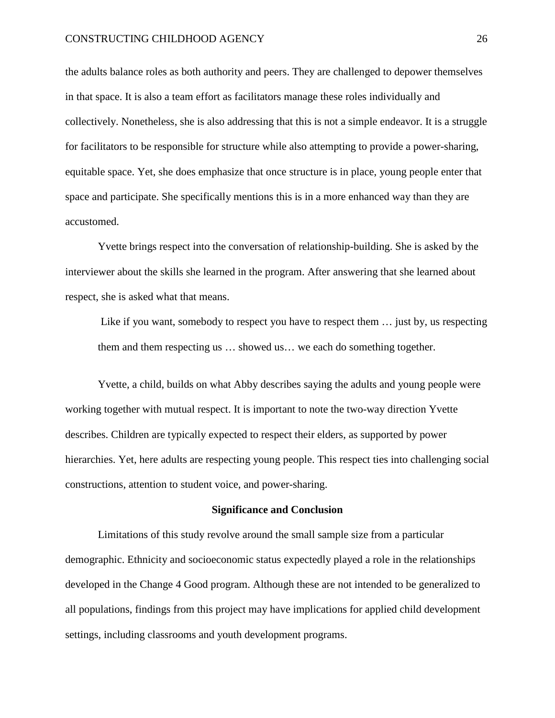#### CONSTRUCTING CHILDHOOD AGENCY 26

the adults balance roles as both authority and peers. They are challenged to depower themselves in that space. It is also a team effort as facilitators manage these roles individually and collectively. Nonetheless, she is also addressing that this is not a simple endeavor. It is a struggle for facilitators to be responsible for structure while also attempting to provide a power-sharing, equitable space. Yet, she does emphasize that once structure is in place, young people enter that space and participate. She specifically mentions this is in a more enhanced way than they are accustomed.

Yvette brings respect into the conversation of relationship-building. She is asked by the interviewer about the skills she learned in the program. After answering that she learned about respect, she is asked what that means.

Like if you want, somebody to respect you have to respect them ... just by, us respecting them and them respecting us … showed us… we each do something together.

Yvette, a child, builds on what Abby describes saying the adults and young people were working together with mutual respect. It is important to note the two-way direction Yvette describes. Children are typically expected to respect their elders, as supported by power hierarchies. Yet, here adults are respecting young people. This respect ties into challenging social constructions, attention to student voice, and power-sharing.

#### **Significance and Conclusion**

Limitations of this study revolve around the small sample size from a particular demographic. Ethnicity and socioeconomic status expectedly played a role in the relationships developed in the Change 4 Good program. Although these are not intended to be generalized to all populations, findings from this project may have implications for applied child development settings, including classrooms and youth development programs.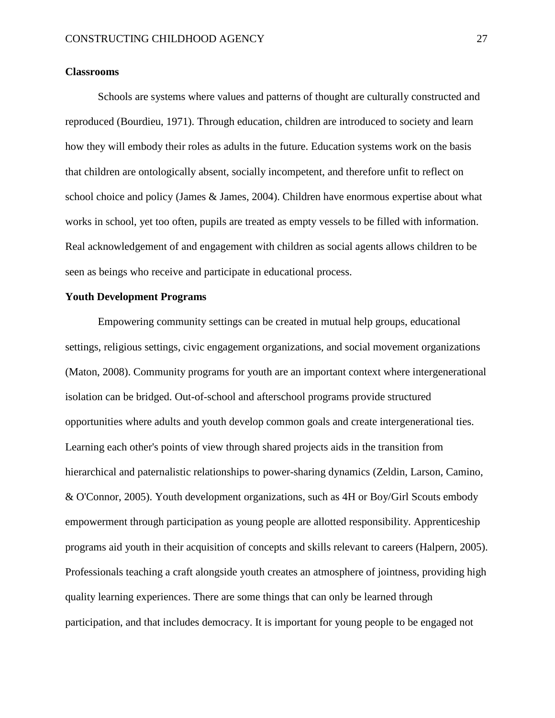#### **Classrooms**

Schools are systems where values and patterns of thought are culturally constructed and reproduced (Bourdieu, 1971). Through education, children are introduced to society and learn how they will embody their roles as adults in the future. Education systems work on the basis that children are ontologically absent, socially incompetent, and therefore unfit to reflect on school choice and policy (James & James, 2004). Children have enormous expertise about what works in school, yet too often, pupils are treated as empty vessels to be filled with information. Real acknowledgement of and engagement with children as social agents allows children to be seen as beings who receive and participate in educational process.

# **Youth Development Programs**

Empowering community settings can be created in mutual help groups, educational settings, religious settings, civic engagement organizations, and social movement organizations (Maton, 2008). Community programs for youth are an important context where intergenerational isolation can be bridged. Out-of-school and afterschool programs provide structured opportunities where adults and youth develop common goals and create intergenerational ties. Learning each other's points of view through shared projects aids in the transition from hierarchical and paternalistic relationships to power-sharing dynamics (Zeldin, Larson, Camino, & O'Connor, 2005). Youth development organizations, such as 4H or Boy/Girl Scouts embody empowerment through participation as young people are allotted responsibility. Apprenticeship programs aid youth in their acquisition of concepts and skills relevant to careers (Halpern, 2005). Professionals teaching a craft alongside youth creates an atmosphere of jointness, providing high quality learning experiences. There are some things that can only be learned through participation, and that includes democracy. It is important for young people to be engaged not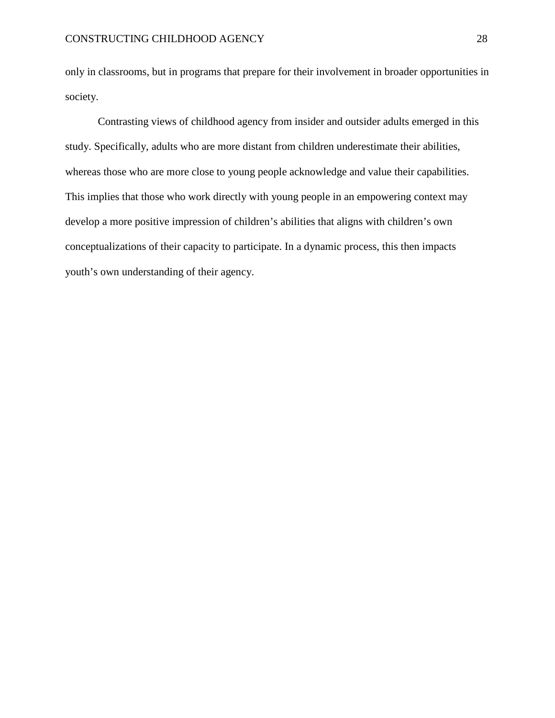only in classrooms, but in programs that prepare for their involvement in broader opportunities in society.

Contrasting views of childhood agency from insider and outsider adults emerged in this study. Specifically, adults who are more distant from children underestimate their abilities, whereas those who are more close to young people acknowledge and value their capabilities. This implies that those who work directly with young people in an empowering context may develop a more positive impression of children's abilities that aligns with children's own conceptualizations of their capacity to participate. In a dynamic process, this then impacts youth's own understanding of their agency.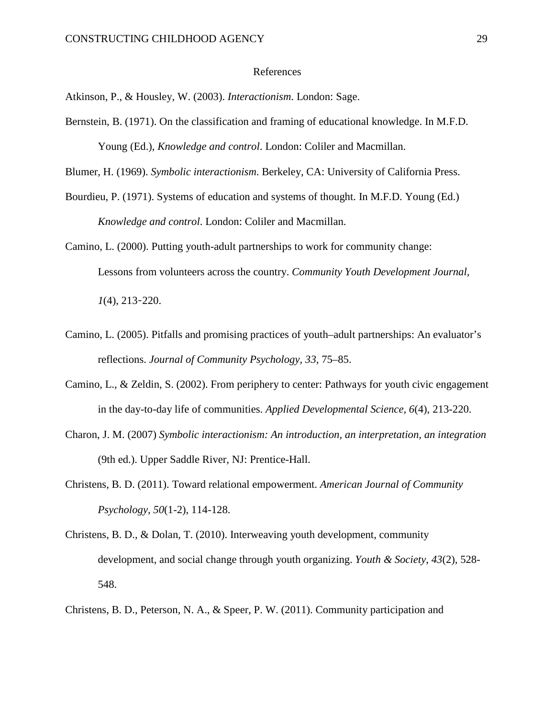#### References

Atkinson, P., & Housley, W. (2003). *Interactionism*. London: Sage.

Bernstein, B. (1971). On the classification and framing of educational knowledge. In M.F.D. Young (Ed.), *Knowledge and control*. London: Coliler and Macmillan.

Blumer, H. (1969). *Symbolic interactionism*. Berkeley, CA: University of California Press.

- Bourdieu, P. (1971). Systems of education and systems of thought. In M.F.D. Young (Ed.) *Knowledge and control*. London: Coliler and Macmillan.
- Camino, L. (2000). Putting youth-adult partnerships to work for community change: Lessons from volunteers across the country. *Community Youth Development Journal, 1*(4), 213‑220.
- Camino, L. (2005). Pitfalls and promising practices of youth–adult partnerships: An evaluator's reflections. *Journal of Community Psychology, 33*, 75–85.
- Camino, L., & Zeldin, S. (2002). From periphery to center: Pathways for youth civic engagement in the day-to-day life of communities. *Applied Developmental Science, 6*(4), 213-220.
- Charon, J. M. (2007) *Symbolic interactionism: An introduction, an interpretation, an integration* (9th ed.). Upper Saddle River, NJ: Prentice-Hall.
- Christens, B. D. (2011). Toward relational empowerment. *American Journal of Community Psychology, 50*(1-2), 114-128.
- Christens, B. D., & Dolan, T. (2010). Interweaving youth development, community development, and social change through youth organizing. *Youth & Society*, *43*(2), 528- 548.

Christens, B. D., Peterson, N. A., & Speer, P. W. (2011). Community participation and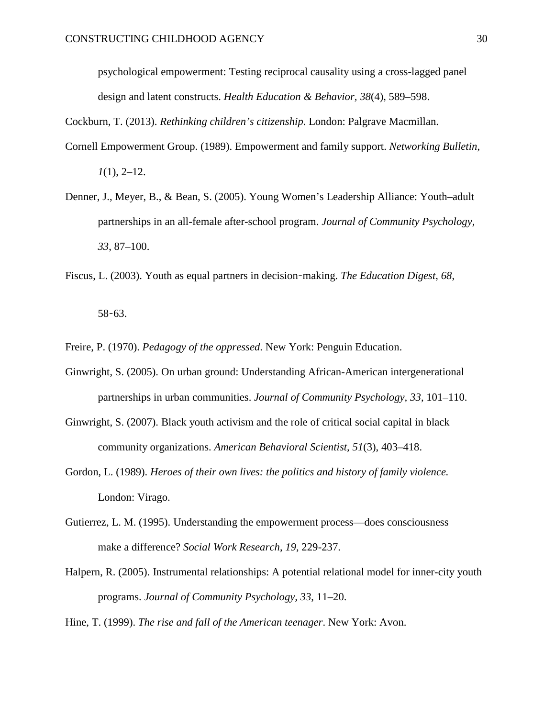psychological empowerment: Testing reciprocal causality using a cross-lagged panel design and latent constructs. *Health Education & Behavior, 38*(4), 589–598.

Cockburn, T. (2013). *Rethinking children's citizenship*. London: Palgrave Macmillan.

- Cornell Empowerment Group. (1989). Empowerment and family support. *Networking Bulletin*, *1*(1), 2–12.
- Denner, J., Meyer, B., & Bean, S. (2005). Young Women's Leadership Alliance: Youth–adult partnerships in an all-female after-school program. *Journal of Community Psychology, 33*, 87–100.
- Fiscus, L. (2003). Youth as equal partners in decision‑making. *The Education Digest*, *68*, 58‑63.

Freire, P. (1970). *Pedagogy of the oppressed*. New York: Penguin Education.

- Ginwright, S. (2005). On urban ground: Understanding African-American intergenerational partnerships in urban communities. *Journal of Community Psychology, 33*, 101–110.
- Ginwright, S. (2007). Black youth activism and the role of critical social capital in black community organizations. *American Behavioral Scientist, 51*(3), 403–418.
- Gordon, L. (1989). *Heroes of their own lives: the politics and history of family violence.*  London: Virago.
- Gutierrez, L. M. (1995). Understanding the empowerment process—does consciousness make a difference? *Social Work Research*, *19*, 229-237.
- Halpern, R. (2005). Instrumental relationships: A potential relational model for inner-city youth programs. *Journal of Community Psychology, 33*, 11–20.

Hine, T. (1999). *The rise and fall of the American teenager*. New York: Avon.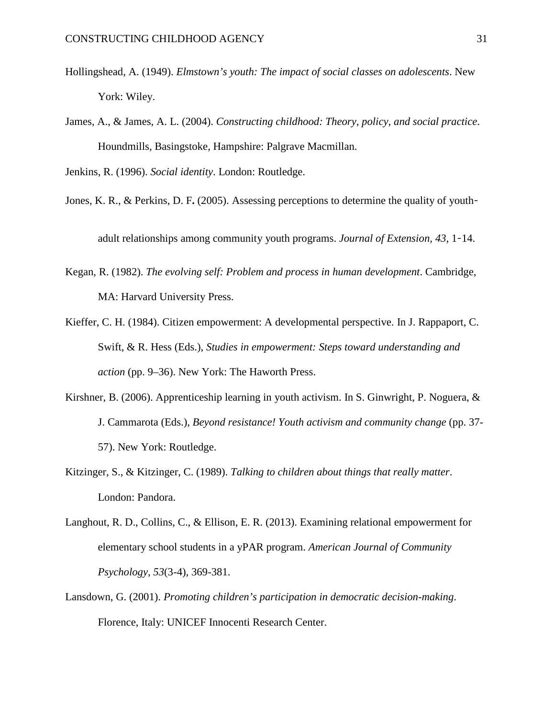- Hollingshead, A. (1949). *Elmstown's youth: The impact of social classes on adolescents*. New York: Wiley.
- James, A., & James, A. L. (2004). *Constructing childhood: Theory, policy, and social practice*. Houndmills, Basingstoke, Hampshire: Palgrave Macmillan.

Jenkins, R. (1996). *Social identity*. London: Routledge.

Jones, K. R., & Perkins, D. F. (2005). Assessing perceptions to determine the quality of youth–

adult relationships among community youth programs. *Journal of Extension, 43*, 1‑14.

- Kegan, R. (1982). *The evolving self: Problem and process in human development*. Cambridge, MA: Harvard University Press.
- Kieffer, C. H. (1984). Citizen empowerment: A developmental perspective. In J. Rappaport, C. Swift, & R. Hess (Eds.), *Studies in empowerment: Steps toward understanding and action* (pp. 9–36). New York: The Haworth Press.
- Kirshner, B. (2006). Apprenticeship learning in youth activism. In S. Ginwright, P. Noguera, & J. Cammarota (Eds.), *Beyond resistance! Youth activism and community change* (pp. 37- 57). New York: Routledge.
- Kitzinger, S., & Kitzinger, C. (1989). *Talking to children about things that really matter*. London: Pandora.
- Langhout, R. D., Collins, C., & Ellison, E. R. (2013). Examining relational empowerment for elementary school students in a yPAR program. *American Journal of Community Psychology*, *53*(3-4), 369-381.
- Lansdown, G. (2001). *Promoting children's participation in democratic decision-making*. Florence, Italy: UNICEF Innocenti Research Center.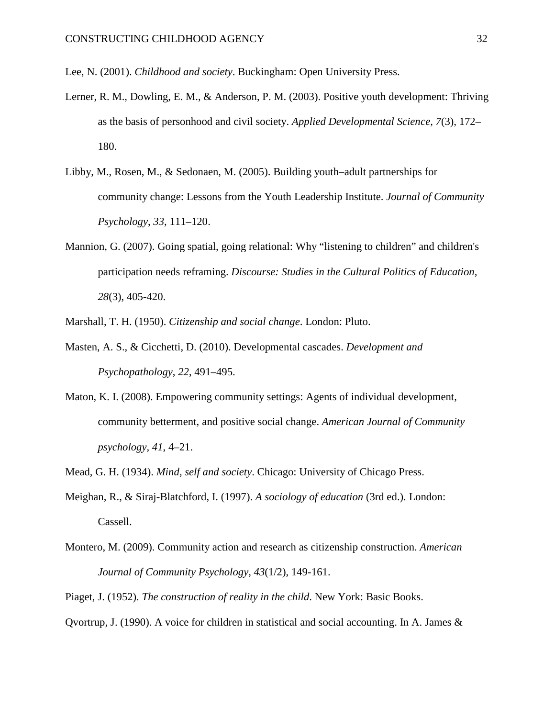- Lee, N. (2001). *Childhood and society*. Buckingham: Open University Press.
- Lerner, R. M., Dowling, E. M., & Anderson, P. M. (2003). Positive youth development: Thriving as the basis of personhood and civil society. *Applied Developmental Science, 7*(3), 172– 180.
- Libby, M., Rosen, M., & Sedonaen, M. (2005). Building youth–adult partnerships for community change: Lessons from the Youth Leadership Institute. *Journal of Community Psychology*, *33*, 111–120.
- Mannion, G. (2007). Going spatial, going relational: Why "listening to children" and children's participation needs reframing. *Discourse: Studies in the Cultural Politics of Education, 28*(3), 405-420.
- Marshall, T. H. (1950). *Citizenship and social change*. London: Pluto.
- Masten, A. S., & Cicchetti, D. (2010). Developmental cascades. *Development and Psychopathology*, *22*, 491–495.
- Maton, K. I. (2008). Empowering community settings: Agents of individual development, community betterment, and positive social change. *American Journal of Community psychology, 41*, 4–21.
- Mead, G. H. (1934). *Mind, self and society*. Chicago: University of Chicago Press.
- Meighan, R., & Siraj-Blatchford, I. (1997). *A sociology of education* (3rd ed.). London: Cassell.
- Montero, M. (2009). Community action and research as citizenship construction. *American Journal of Community Psychology, 43*(1/2), 149-161.
- Piaget, J. (1952). *The construction of reality in the child*. New York: Basic Books.

Qvortrup, J. (1990). A voice for children in statistical and social accounting. In A. James  $\&$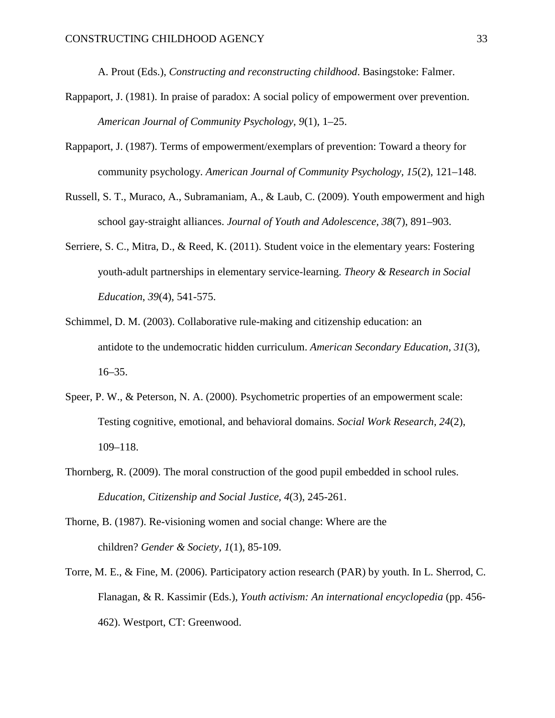A. Prout (Eds.), *Constructing and reconstructing childhood*. Basingstoke: Falmer.

- Rappaport, J. (1981). In praise of paradox: A social policy of empowerment over prevention. *American Journal of Community Psychology, 9*(1), 1–25.
- Rappaport, J. (1987). Terms of empowerment/exemplars of prevention: Toward a theory for community psychology. *American Journal of Community Psychology, 15*(2), 121–148.
- Russell, S. T., Muraco, A., Subramaniam, A., & Laub, C. (2009). Youth empowerment and high school gay-straight alliances. *Journal of Youth and Adolescence, 38*(7), 891–903.
- Serriere, S. C., Mitra, D., & Reed, K. (2011). Student voice in the elementary years: Fostering youth-adult partnerships in elementary service-learning. *Theory & Research in Social Education*, *39*(4), 541-575.
- Schimmel, D. M. (2003). Collaborative rule-making and citizenship education: an antidote to the undemocratic hidden curriculum. *American Secondary Education, 31*(3), 16–35.
- Speer, P. W., & Peterson, N. A. (2000). Psychometric properties of an empowerment scale: Testing cognitive, emotional, and behavioral domains. *Social Work Research, 24*(2), 109–118.
- Thornberg, R. (2009). The moral construction of the good pupil embedded in school rules. *Education, Citizenship and Social Justice, 4*(3), 245-261.
- Thorne, B. (1987). Re-visioning women and social change: Where are the children? *Gender & Society, 1*(1), 85-109.
- Torre, M. E., & Fine, M. (2006). Participatory action research (PAR) by youth. In L. Sherrod, C. Flanagan, & R. Kassimir (Eds.), *Youth activism: An international encyclopedia* (pp. 456- 462). Westport, CT: Greenwood.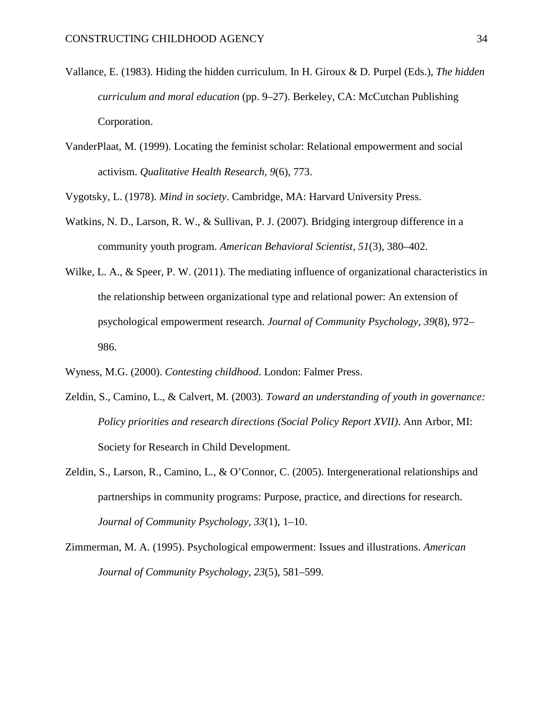- Vallance, E. (1983). Hiding the hidden curriculum. In H. Giroux & D. Purpel (Eds.), *The hidden curriculum and moral education* (pp. 9–27). Berkeley, CA: McCutchan Publishing Corporation.
- VanderPlaat, M. (1999). Locating the feminist scholar: Relational empowerment and social activism. *Qualitative Health Research, 9*(6), 773.

Vygotsky, L. (1978). *Mind in society*. Cambridge, MA: Harvard University Press.

- Watkins, N. D., Larson, R. W., & Sullivan, P. J. (2007). Bridging intergroup difference in a community youth program. *American Behavioral Scientist, 51*(3), 380–402.
- Wilke, L. A., & Speer, P. W. (2011). The mediating influence of organizational characteristics in the relationship between organizational type and relational power: An extension of psychological empowerment research. *Journal of Community Psychology, 39*(8), 972– 986.
- Wyness, M.G. (2000). *Contesting childhood*. London: Falmer Press.
- Zeldin, S., Camino, L., & Calvert, M. (2003). *Toward an understanding of youth in governance: Policy priorities and research directions (Social Policy Report XVII)*. Ann Arbor, MI: Society for Research in Child Development.
- Zeldin, S., Larson, R., Camino, L., & O'Connor, C. (2005). Intergenerational relationships and partnerships in community programs: Purpose, practice, and directions for research. *Journal of Community Psychology, 33*(1), 1–10.
- Zimmerman, M. A. (1995). Psychological empowerment: Issues and illustrations. *American Journal of Community Psychology, 23*(5), 581–599.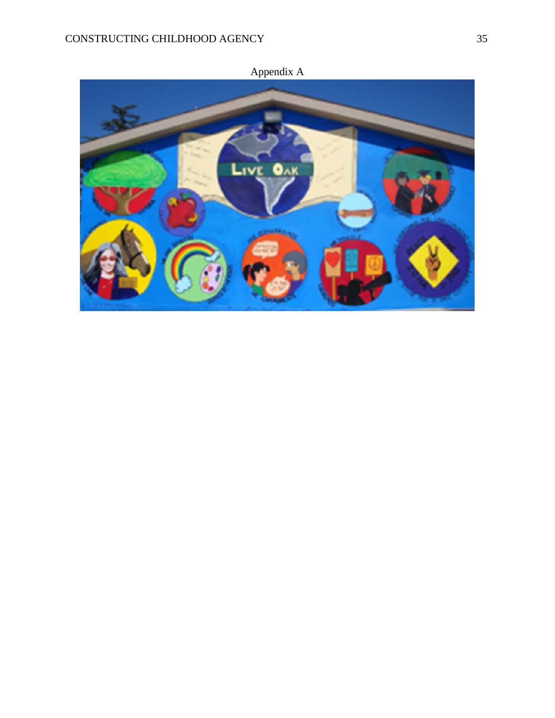

Appendix A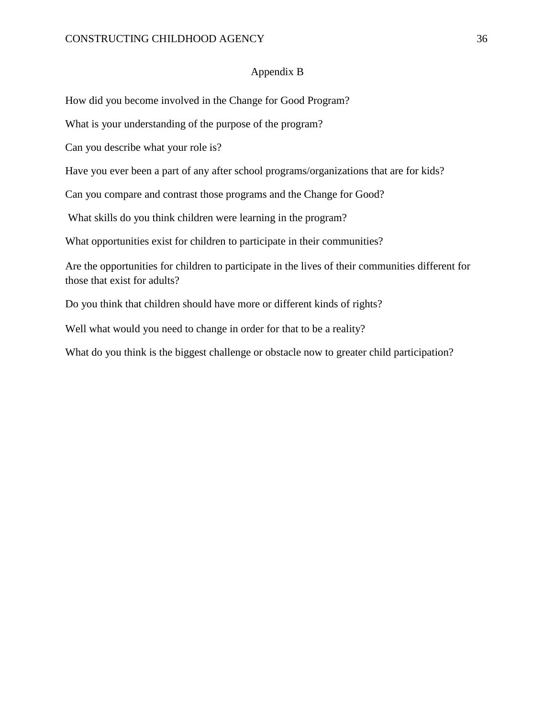# Appendix B

How did you become involved in the Change for Good Program?

What is your understanding of the purpose of the program?

Can you describe what your role is?

Have you ever been a part of any after school programs/organizations that are for kids?

Can you compare and contrast those programs and the Change for Good?

What skills do you think children were learning in the program?

What opportunities exist for children to participate in their communities?

Are the opportunities for children to participate in the lives of their communities different for those that exist for adults?

Do you think that children should have more or different kinds of rights?

Well what would you need to change in order for that to be a reality?

What do you think is the biggest challenge or obstacle now to greater child participation?